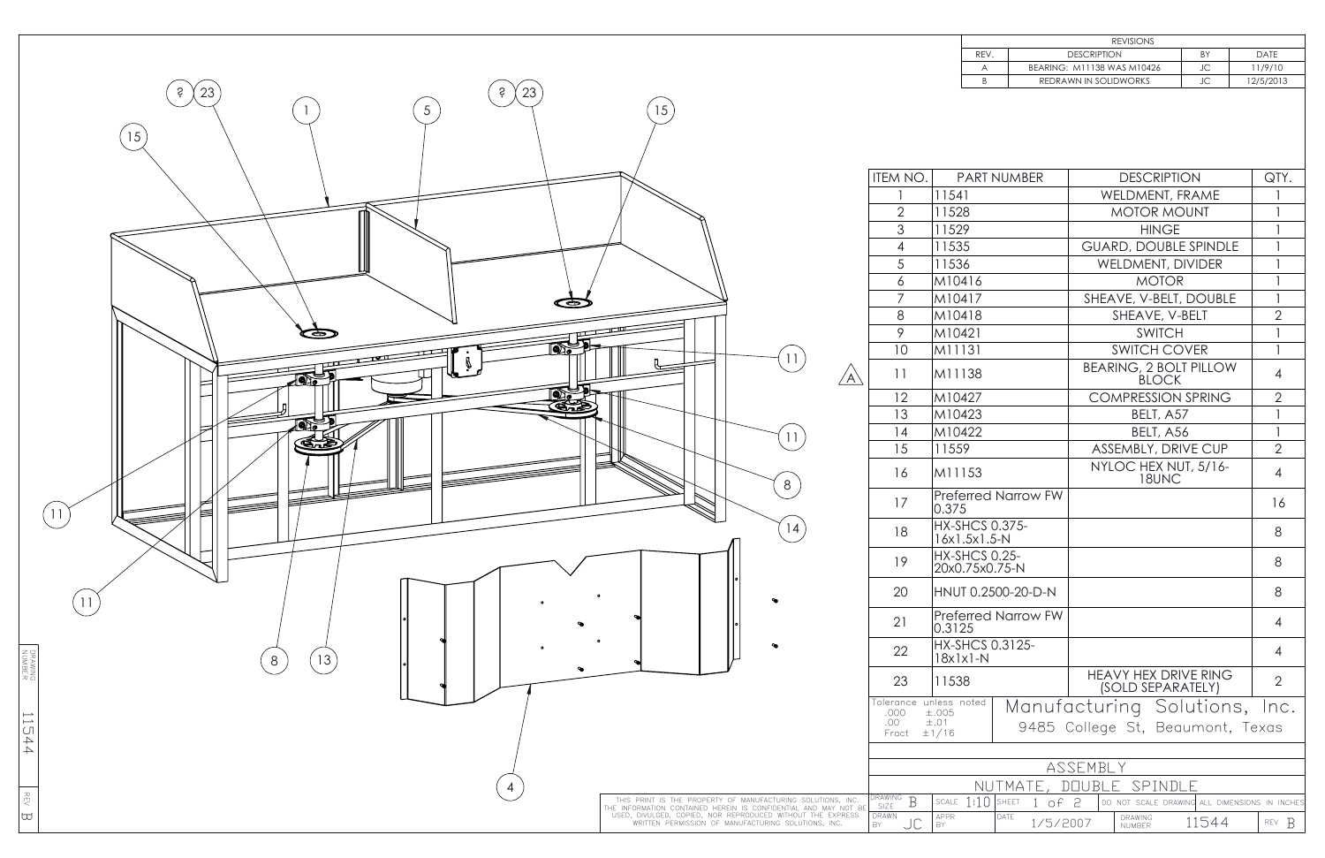

| IEM NO.                           | PART NUMBER                                                                            |                                                                      | <b>DESCRIPTION</b>                               | QTY.           |  |  |
|-----------------------------------|----------------------------------------------------------------------------------------|----------------------------------------------------------------------|--------------------------------------------------|----------------|--|--|
|                                   | 11541                                                                                  |                                                                      | <b>WELDMENT, FRAME</b>                           | 1              |  |  |
| $\overline{2}$                    | 11528                                                                                  |                                                                      | <b>MOTOR MOUNT</b>                               | 1              |  |  |
| 3                                 | 11529                                                                                  |                                                                      | <b>HINGE</b>                                     | 1              |  |  |
| $\overline{4}$                    | 11535                                                                                  |                                                                      | <b>GUARD, DOUBLE SPINDLE</b>                     | 1              |  |  |
| 5                                 | 11536                                                                                  |                                                                      | <b>WELDMENT, DIVIDER</b>                         | 1              |  |  |
| 6                                 | M10416                                                                                 |                                                                      | <b>MOTOR</b>                                     | 1              |  |  |
| 7                                 | M10417                                                                                 |                                                                      | SHEAVE, V-BELT, DOUBLE                           | 1              |  |  |
| 8                                 | M10418                                                                                 |                                                                      | SHEAVE, V-BELT                                   | $\overline{2}$ |  |  |
| 9                                 | M10421                                                                                 |                                                                      | <b>SWITCH</b>                                    | 1              |  |  |
| 10                                | M11131                                                                                 |                                                                      | <b>SWITCH COVER</b>                              | 1              |  |  |
| 11                                | M11138                                                                                 |                                                                      | <b>BEARING, 2 BOLT PILLOW</b><br><b>BLOCK</b>    | 4              |  |  |
| 12                                | M10427                                                                                 |                                                                      | <b>COMPRESSION SPRING</b>                        | $\overline{2}$ |  |  |
| 13                                | M10423                                                                                 |                                                                      | BELT, A57                                        | $\mathbf{1}$   |  |  |
| 14                                | M10422                                                                                 |                                                                      | BELT, A56                                        | $\mathbf{I}$   |  |  |
| 15                                | 11559                                                                                  |                                                                      | ASSEMBLY, DRIVE CUP                              | $\overline{2}$ |  |  |
| 16                                | M11153                                                                                 |                                                                      | NYLOC HEX NUT, 5/16-<br>18UNC                    | $\overline{4}$ |  |  |
| 17                                | <b>Preferred Narrow FW</b><br>0.375                                                    |                                                                      |                                                  | 16             |  |  |
| 18                                | <b>HX-SHCS 0.375-</b><br>$16x1.5x1.5-N$                                                |                                                                      |                                                  | 8              |  |  |
| 19                                | <b>HX-SHCS 0.25-</b><br>20x0.75x0.75-N                                                 |                                                                      |                                                  | 8              |  |  |
| 20                                | HNUT 0.2500-20-D-N                                                                     |                                                                      |                                                  | 8              |  |  |
| 21                                | <b>Preferred Narrow FW</b><br>0.3125                                                   |                                                                      |                                                  | $\overline{4}$ |  |  |
| 22                                | <b>HX-SHCS 0.3125-</b><br>$18x1x1-N$                                                   |                                                                      |                                                  | 4              |  |  |
| 23                                | 11538                                                                                  |                                                                      | <b>HEAVY HEX DRIVE RING</b><br>(SOLD SEPARATELY) | $\overline{2}$ |  |  |
| plerance<br>.000<br>.00<br>Fract  | unless noted<br>±.005<br>$\pm .01$<br>±1/16                                            | Manufacturing Solutions,<br>Inc.<br>9485 College St, Beaumont, Texas |                                                  |                |  |  |
|                                   |                                                                                        |                                                                      |                                                  |                |  |  |
| ASSEMBLY                          |                                                                                        |                                                                      |                                                  |                |  |  |
| SPINDLE<br>NUTMATE<br><b>DOUB</b> |                                                                                        |                                                                      |                                                  |                |  |  |
| RAWING<br>B<br><b>SIZE</b>        | 1:10<br><b>SHEET</b><br>SCALE<br>of 2<br>DO NOT SCALE DRAWING ALL DIMENSIONS IN INCHES |                                                                      |                                                  |                |  |  |
| RAWN<br>JC                        | APPR<br>DATE<br>DRAWING<br>11544<br>1/5/2007<br>B<br>REV<br>BY<br>NUMBER               |                                                                      |                                                  |                |  |  |

| <b>REVISIONS</b>           |    |             |  |  |  |  |
|----------------------------|----|-------------|--|--|--|--|
| <b>DESCRIPTION</b>         | BY | <b>DATE</b> |  |  |  |  |
| BEARING: M11138 WAS M10426 | JC | 11/9/10     |  |  |  |  |
| REDRAWN IN SOLIDWORKS      | JC | 12/5/2013   |  |  |  |  |
|                            |    |             |  |  |  |  |